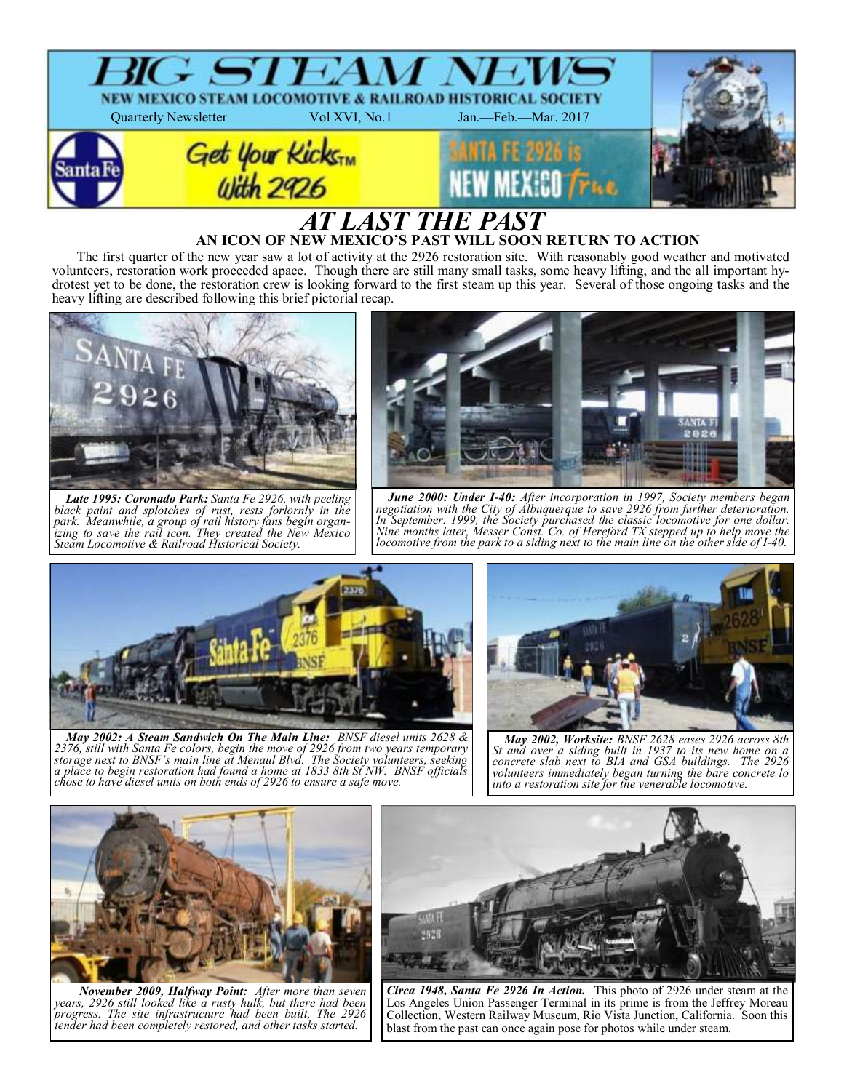

# **AN ICON OF NEW MEXICO'S PAST WILL SOON RETURN TO ACTION**

The first quarter of the new year saw a lot of activity at the 2926 restoration site. With reasonably good weather and motivated volunteers, restoration work proceeded apace. Though there are still many small tasks, some heavy lifting, and the all important hydrotest yet to be done, the restoration crew is looking forward to the first steam up this year. Several of those ongoing tasks and the heavy lifting are described following this brief pictorial recap.



*Late 1995: Coronado Park: Santa Fe 2926, with peeling black paint and splotches of rust, rests forlornly in the park. Meanwhile, a group of rail history fans begin organizing to save the rail icon. They created the New Mexico Steam Locomotive & Railroad Historical Society.*



*June 2000: Under I-40: After incorporation in 1997, Society members began negotiation with the City of Albuquerque to save 2926 from further deterioration. In September. 1999, the Society purchased the classic locomotive for one dollar. Nine months later, Messer Const. Co. of Hereford TX stepped up to help move the locomotive from the park to a siding next to the main line on the other side of I-40.* 



*May 2002: A Steam Sandwich On The Main Line: BNSF diesel units 2628 & 2376, still with Santa Fe colors, begin the move of 2926 from two years temporary storage next to BNSF's main line at Menaul Blvd. The Society volunteers, seeking a place to begin restoration had found a home at 1833 8th St NW. BNSF officials chose to have diesel units on both ends of 2926 to ensure a safe move.* 



*May 2002, Worksite: BNSF 2628 eases 2926 across 8th St and over a siding built in 1937 to its new home on a concrete slab next to BIA and GSA buildings. The 2926 volunteers immediately began turning the bare concrete lo into a restoration site for the venerable locomotive.*



*November 2009, Halfway Point: After more than seven years, 2926 still looked like a rusty hulk, but there had been progress. The site infrastructure had been built, The 2926 tender had been completely restored, and other tasks started.*



*Circa 1948, Santa Fe 2926 In Action.* This photo of 2926 under steam at the Los Angeles Union Passenger Terminal in its prime is from the Jeffrey Moreau Collection, Western Railway Museum, Rio Vista Junction, California. Soon this blast from the past can once again pose for photos while under steam.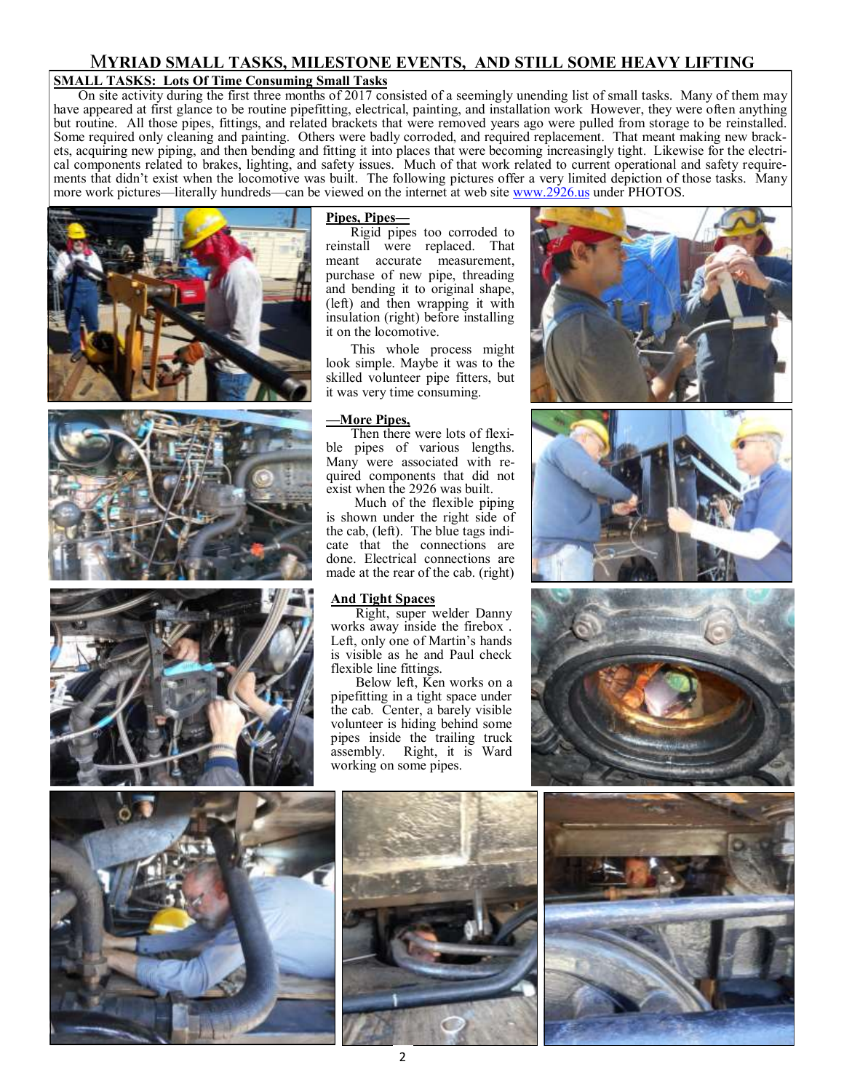# M**YRIAD SMALL TASKS, MILESTONE EVENTS, AND STILL SOME HEAVY LIFTING**

# **SMALL TASKS: Lots Of Time Consuming Small Tasks**

On site activity during the first three months of 2017 consisted of a seemingly unending list of small tasks. Many of them may have appeared at first glance to be routine pipefitting, electrical, painting, and installation work However, they were often anything but routine. All those pipes, fittings, and related brackets that were removed years ago were pulled from storage to be reinstalled. Some required only cleaning and painting. Others were badly corroded, and required replacement. That meant making new brackets, acquiring new piping, and then bending and fitting it into places that were becoming increasingly tight. Likewise for the electrical components related to brakes, lighting, and safety issues. Much of that work related to current operational and safety requirements that didn't exist when the locomotive was built. The following pictures offer a very limited depiction of those tasks. Many more work pictures—literally hundreds—can be viewed on the internet at web site [www.2926.us](mailto:www.2926.us) under PHOTOS.







### **Pipes, Pipes—**

Rigid pipes too corroded to reinstall were replaced. That meant accurate measurement, purchase of new pipe, threading and bending it to original shape, (left) and then wrapping it with insulation (right) before installing it on the locomotive.

This whole process might look simple. Maybe it was to the skilled volunteer pipe fitters, but it was very time consuming.

# **—More Pipes,**

Then there were lots of flexible pipes of various lengths. Many were associated with required components that did not exist when the 2926 was built.

Much of the flexible piping is shown under the right side of the cab, (left). The blue tags indicate that the connections are done. Electrical connections are made at the rear of the cab. (right)

#### **And Tight Spaces**

Right, super welder Danny works away inside the firebox . Left, only one of Martin's hands is visible as he and Paul check flexible line fittings.

Below left, Ken works on a pipefitting in a tight space under the cab. Center, a barely visible volunteer is hiding behind some pipes inside the trailing truck assembly. Right, it is Ward working on some pipes.











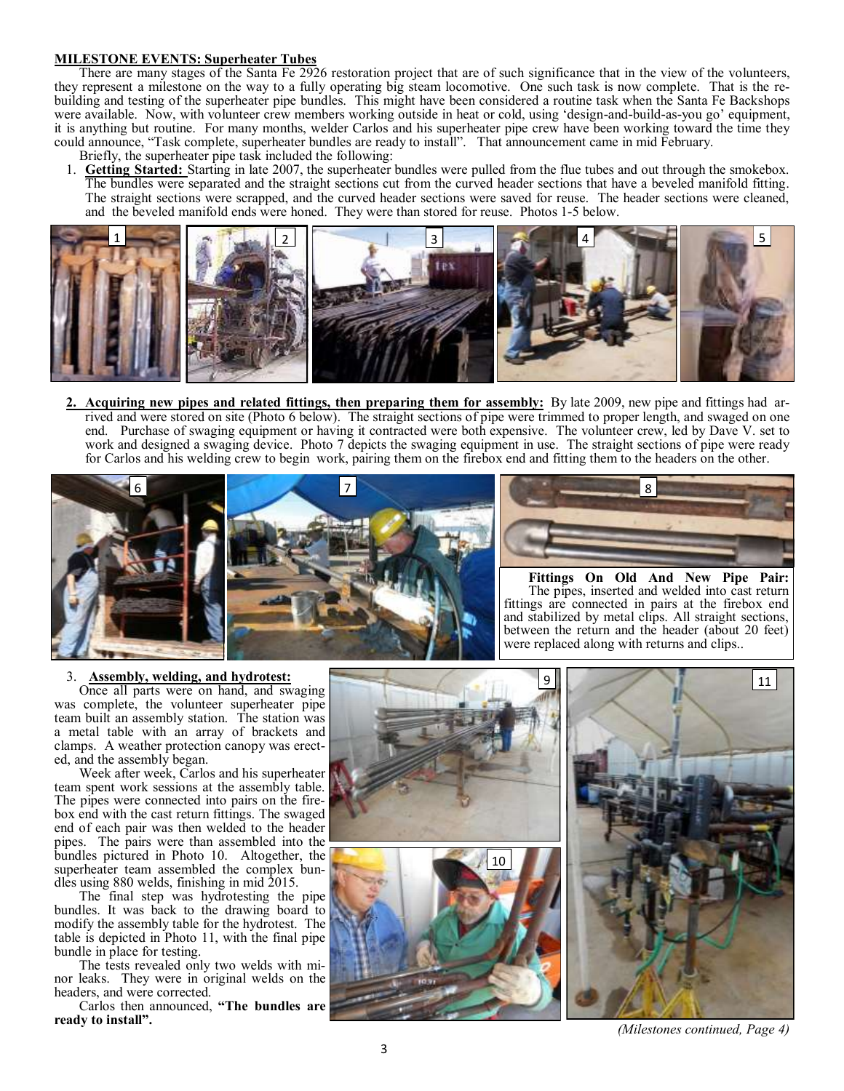#### **MILESTONE EVENTS: Superheater Tubes**

There are many stages of the Santa Fe 2926 restoration project that are of such significance that in the view of the volunteers, they represent a milestone on the way to a fully operating big steam locomotive. One such task is now complete. That is the rebuilding and testing of the superheater pipe bundles. This might have been considered a routine task when the Santa Fe Backshops were available. Now, with volunteer crew members working outside in heat or cold, using 'design-and-build-as-you go' equipment, it is anything but routine. For many months, welder Carlos and his superheater pipe crew have been working toward the time they could announce, "Task complete, superheater bundles are ready to install". That announcement came in mid February.

- Briefly, the superheater pipe task included the following:
- 1. **Getting Started:** Starting in late 2007, the superheater bundles were pulled from the flue tubes and out through the smokebox. The bundles were separated and the straight sections cut from the curved header sections that have a beveled manifold fitting. The straight sections were scrapped, and the curved header sections were saved for reuse. The header sections were cleaned, and the beveled manifold ends were honed. They were than stored for reuse. Photos 1-5 below.



**2. Acquiring new pipes and related fittings, then preparing them for assembly:** By late 2009, new pipe and fittings had arrived and were stored on site (Photo 6 below). The straight sections of pipe were trimmed to proper length, and swaged on one end. Purchase of swaging equipment or having it contracted were both expensive. The volunteer crew, led by Dave V. set to work and designed a swaging device. Photo 7 depicts the swaging equipment in use. The straight sections of pipe were ready for Carlos and his welding crew to begin work, pairing them on the firebox end and fitting them to the headers on the other.





**Fittings On Old And New Pipe Pair:**  The pipes, inserted and welded into cast return fittings are connected in pairs at the firebox end and stabilized by metal clips. All straight sections, between the return and the header (about 20 feet) were replaced along with returns and clips..

# 3. **Assembly, welding, and hydrotest:**

Once all parts were on hand, and swaging was complete, the volunteer superheater pipe team built an assembly station. The station was a metal table with an array of brackets and clamps. A weather protection canopy was erected, and the assembly began.

Week after week, Carlos and his superheater team spent work sessions at the assembly table. The pipes were connected into pairs on the firebox end with the cast return fittings. The swaged end of each pair was then welded to the header pipes. The pairs were than assembled into the bundles pictured in Photo 10. Altogether, the superheater team assembled the complex bundles using 880 welds, finishing in mid 2015.

The final step was hydrotesting the pipe bundles. It was back to the drawing board to modify the assembly table for the hydrotest. The table is depicted in Photo 11, with the final pipe bundle in place for testing.

The tests revealed only two welds with minor leaks. They were in original welds on the headers, and were corrected.

Carlos then announced, **"The bundles are ready to install".**



*(Milestones continued, Page 4)*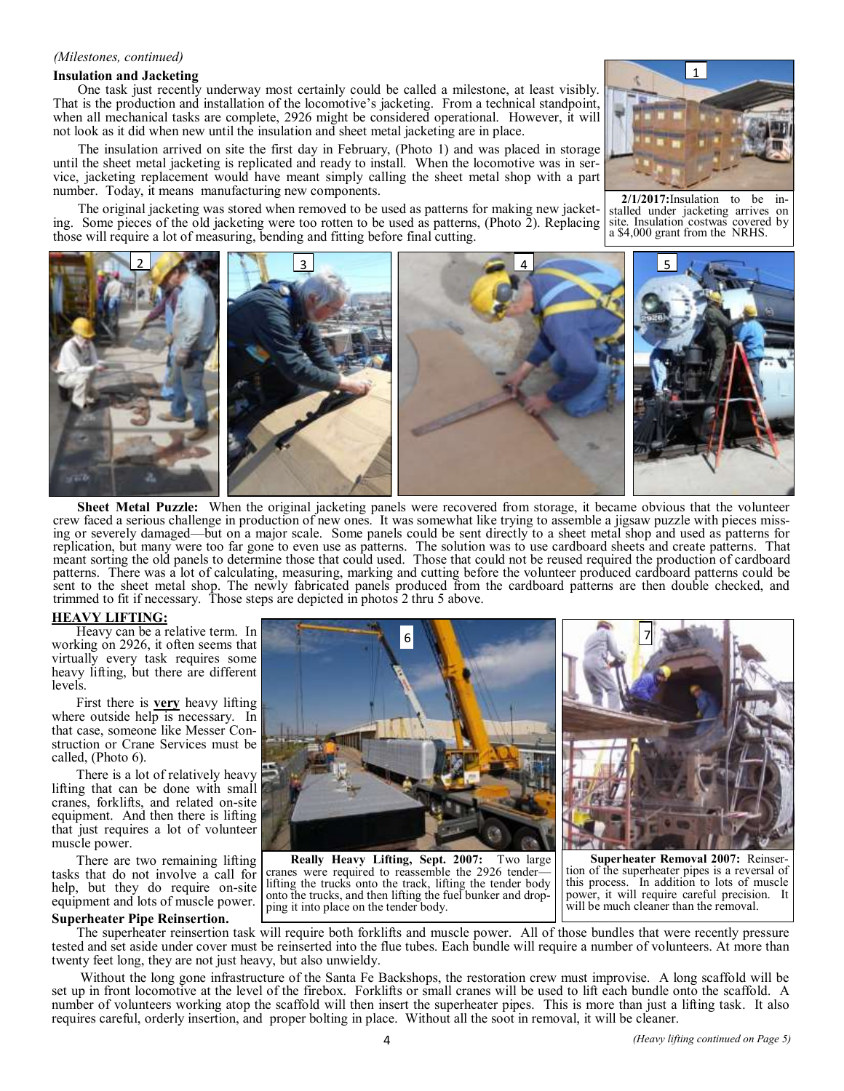#### *(Milestones, continued)*

#### **Insulation and Jacketing**

One task just recently underway most certainly could be called a milestone, at least visibly. That is the production and installation of the locomotive's jacketing. From a technical standpoint, when all mechanical tasks are complete, 2926 might be considered operational. However, it will not look as it did when new until the insulation and sheet metal jacketing are in place.

The insulation arrived on site the first day in February, (Photo 1) and was placed in storage until the sheet metal jacketing is replicated and ready to install. When the locomotive was in service, jacketing replacement would have meant simply calling the sheet metal shop with a part number. Today, it means manufacturing new components.



The original jacketing was stored when removed to be used as patterns for making new jacketing. Some pieces of the old jacketing were too rotten to be used as patterns, (Photo 2). Replacing those will require a lot of measuring, bending and fitting before final cutting.

 $2/1/2017$ : Insulation to be stalled under jacketing arrives on site. Insulation costwas covered by a \$4,000 grant from the NRHS.



**Sheet Metal Puzzle:** When the original jacketing panels were recovered from storage, it became obvious that the volunteer crew faced a serious challenge in production of new ones. It was somewhat like trying to assemble a jigsaw puzzle with pieces missing or severely damaged—but on a major scale. Some panels could be sent directly to a sheet metal shop and used as patterns for replication, but many were too far gone to even use as patterns. The solution was to use cardboard sheets and create patterns. That meant sorting the old panels to determine those that could used. Those that could not be reused required the production of cardboard patterns. There was a lot of calculating, measuring, marking and cutting before the volunteer produced cardboard patterns could be sent to the sheet metal shop. The newly fabricated panels produced from the cardboard patterns are then double checked, and trimmed to fit if necessary. Those steps are depicted in photos 2 thru 5 above.

#### **HEAVY LIFTING:**

Heavy can be a relative term. In working on 2926, it often seems that virtually every task requires some heavy lifting, but there are different levels.

First there is **very** heavy lifting where outside help is necessary. In that case, someone like Messer Construction or Crane Services must be called, (Photo 6).

There is a lot of relatively heavy lifting that can be done with small cranes, forklifts, and related on-site equipment. And then there is lifting that just requires a lot of volunteer muscle power.

There are two remaining lifting tasks that do not involve a call for help, but they do require on-site equipment and lots of muscle power.

#### **Superheater Pipe Reinsertion.**



**Really Heavy Lifting, Sept. 2007:** Two large cranes were required to reassemble the 2926 tender lifting the trucks onto the track, lifting the tender body onto the trucks, and then lifting the fuel bunker and dropping it into place on the tender body.

**Superheater Removal 2007:** Reinsertion of the superheater pipes is a reversal of this process. In addition to lots of muscle power, it will require careful precision. It will be much cleaner than the removal.

The superheater reinsertion task will require both forklifts and muscle power. All of those bundles that were recently pressure tested and set aside under cover must be reinserted into the flue tubes. Each bundle will require a number of volunteers. At more than twenty feet long, they are not just heavy, but also unwieldy.

Without the long gone infrastructure of the Santa Fe Backshops, the restoration crew must improvise. A long scaffold will be set up in front locomotive at the level of the firebox. Forklifts or small cranes will be used to lift each bundle onto the scaffold. A number of volunteers working atop the scaffold will then insert the superheater pipes. This is more than just a lifting task. It also requires careful, orderly insertion, and proper bolting in place. Without all the soot in removal, it will be cleaner.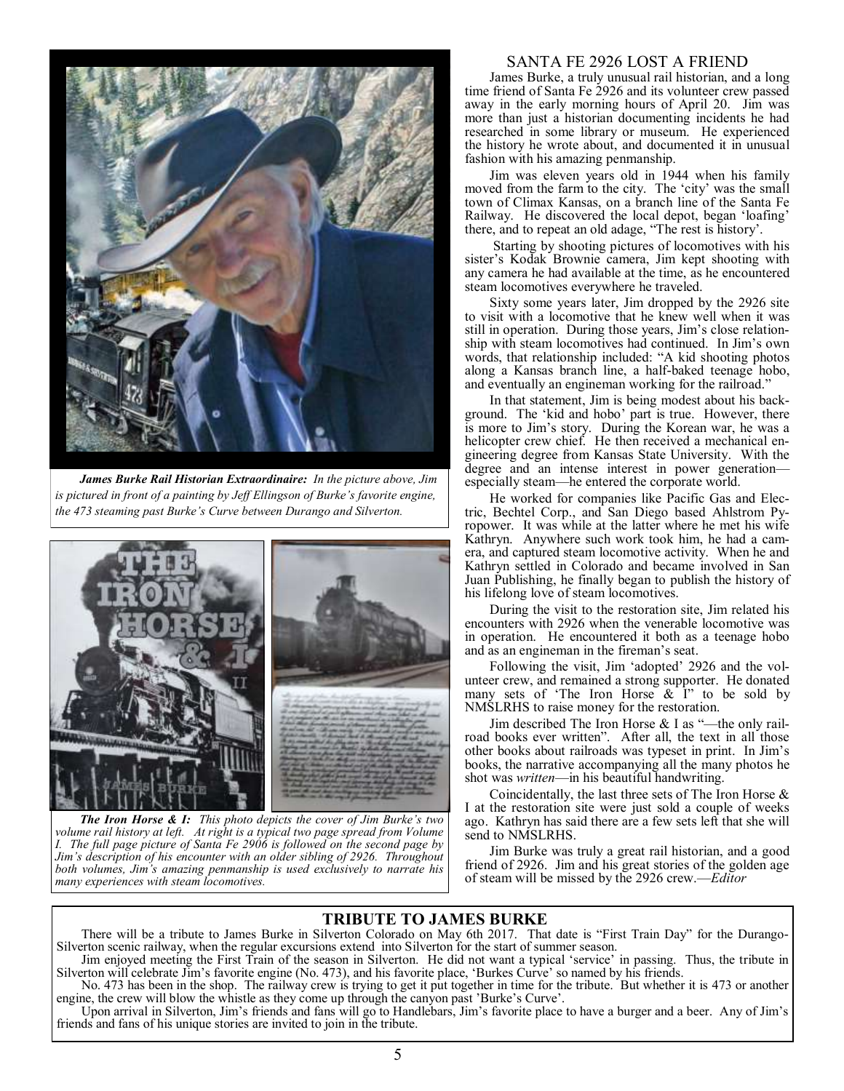

*James Burke Rail Historian Extraordinaire: In the picture above, Jim is pictured in front of a painting by Jeff Ellingson of Burke's favorite engine, the 473 steaming past Burke's Curve between Durango and Silverton.*



*The Iron Horse & I: This photo depicts the cover of Jim Burke's two volume rail history at left. At right is a typical two page spread from Volume I. The full page picture of Santa Fe 2906 is followed on the second page by Jim's description of his encounter with an older sibling of 2926. Throughout both volumes, Jim's amazing penmanship is used exclusively to narrate his many experiences with steam locomotives.* 

### SANTA FE 2926 LOST A FRIEND

James Burke, a truly unusual rail historian, and a long time friend of Santa Fe 2926 and its volunteer crew passed away in the early morning hours of April 20. Jim was more than just a historian documenting incidents he had researched in some library or museum. He experienced the history he wrote about, and documented it in unusual fashion with his amazing penmanship.

Jim was eleven years old in 1944 when his family moved from the farm to the city. The 'city' was the small town of Climax Kansas, on a branch line of the Santa Fe Railway. He discovered the local depot, began 'loafing' there, and to repeat an old adage, "The rest is history'.

Starting by shooting pictures of locomotives with his sister's Kodak Brownie camera, Jim kept shooting with any camera he had available at the time, as he encountered steam locomotives everywhere he traveled.

Sixty some years later, Jim dropped by the 2926 site to visit with a locomotive that he knew well when it was still in operation. During those years, Jim's close relationship with steam locomotives had continued. In Jim's own words, that relationship included: "A kid shooting photos along a Kansas branch line, a half-baked teenage hobo, and eventually an engineman working for the railroad."

In that statement, Jim is being modest about his background. The 'kid and hobo' part is true. However, there is more to Jim's story. During the Korean war, he was a helicopter crew chief. He then received a mechanical engineering degree from Kansas State University. With the degree and an intense interest in power generation especially steam—he entered the corporate world.

He worked for companies like Pacific Gas and Electric, Bechtel Corp., and San Diego based Ahlstrom Pyropower. It was while at the latter where he met his wife Kathryn. Anywhere such work took him, he had a camera, and captured steam locomotive activity. When he and Kathryn settled in Colorado and became involved in San Juan Publishing, he finally began to publish the history of his lifelong love of steam locomotives.

During the visit to the restoration site, Jim related his encounters with 2926 when the venerable locomotive was in operation. He encountered it both as a teenage hobo and as an engineman in the fireman's seat.

Following the visit, Jim 'adopted' 2926 and the volunteer crew, and remained a strong supporter. He donated many sets of 'The Iron Horse  $\&$  I" to be sold by NMSLRHS to raise money for the restoration.

Jim described The Iron Horse & I as "—the only railroad books ever written". After all, the text in all those other books about railroads was typeset in print. In Jim's books, the narrative accompanying all the many photos he shot was *written*—in his beautiful handwriting.

Coincidentally, the last three sets of The Iron Horse & I at the restoration site were just sold a couple of weeks ago. Kathryn has said there are a few sets left that she will send to NMSLRHS.

Jim Burke was truly a great rail historian, and a good friend of 2926. Jim and his great stories of the golden age of steam will be missed by the 2926 crew.—*Editor*

# **TRIBUTE TO JAMES BURKE**

There will be a tribute to James Burke in Silverton Colorado on May 6th 2017. That date is "First Train Day" for the Durango-Silverton scenic railway, when the regular excursions extend into Silverton for the start of summer season.

Jim enjoyed meeting the First Train of the season in Silverton. He did not want a typical 'service' in passing. Thus, the tribute in Silverton will celebrate Jim's favorite engine (No. 473), and his favorite place, 'Burkes Curve' so named by his friends.

No. 473 has been in the shop. The railway crew is trying to get it put together in time for the tribute. But whether it is 473 or another engine, the crew will blow the whistle as they come up through the canyon past 'Burke's Curve'.

Upon arrival in Silverton, Jim's friends and fans will go to Handlebars, Jim's favorite place to have a burger and a beer. Any of Jim's friends and fans of his unique stories are invited to join in the tribute.